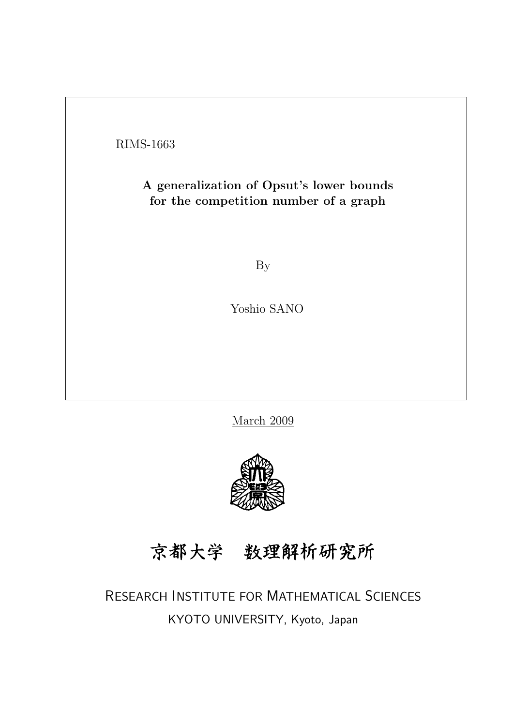RIMS-1663

## A generalization of Opsut's lower bounds for the competition number of a graph

By

Yoshio SANO

March 2009



京都大学 数理解析研究所

RESEARCH INSTITUTE FOR MATHEMATICAL SCIENCES KYOTO UNIVERSITY, Kyoto, Japan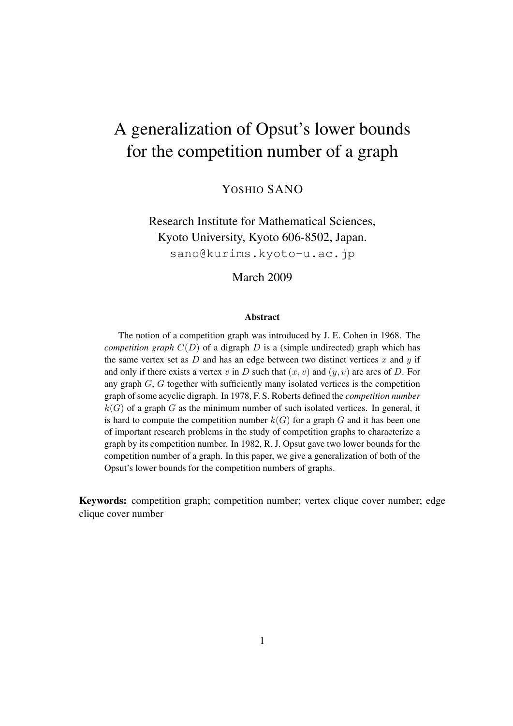# A generalization of Opsut's lower bounds for the competition number of a graph

YOSHIO SANO

Research Institute for Mathematical Sciences, Kyoto University, Kyoto 606-8502, Japan. sano@kurims.kyoto-u.ac.jp

March 2009

#### Abstract

The notion of a competition graph was introduced by J. E. Cohen in 1968. The *competition graph*  $C(D)$  of a digraph *D* is a (simple undirected) graph which has the same vertex set as  $D$  and has an edge between two distinct vertices  $x$  and  $y$  if and only if there exists a vertex  $v$  in  $D$  such that  $(x, v)$  and  $(y, v)$  are arcs of  $D$ . For any graph *G*, *G* together with sufficiently many isolated vertices is the competition graph of some acyclic digraph. In 1978, F. S. Roberts defined the *competition number*  $k(G)$  of a graph *G* as the minimum number of such isolated vertices. In general, it is hard to compute the competition number  $k(G)$  for a graph  $G$  and it has been one of important research problems in the study of competition graphs to characterize a graph by its competition number. In 1982, R. J. Opsut gave two lower bounds for the competition number of a graph. In this paper, we give a generalization of both of the Opsut's lower bounds for the competition numbers of graphs.

Keywords: competition graph; competition number; vertex clique cover number; edge clique cover number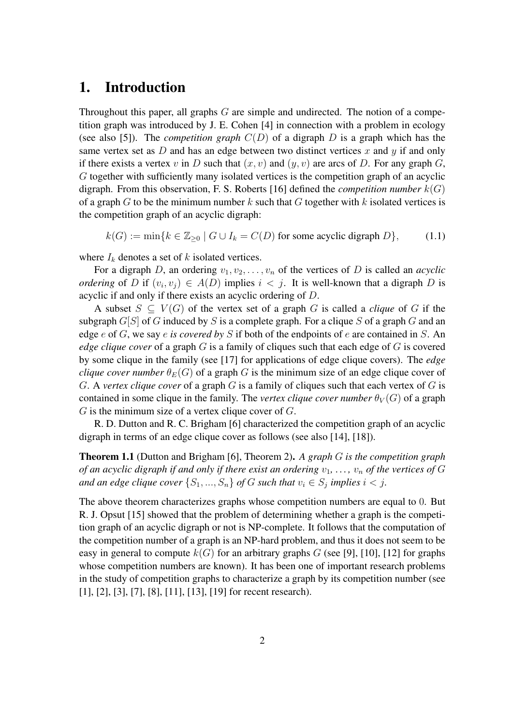### 1. Introduction

Throughout this paper, all graphs *G* are simple and undirected. The notion of a competition graph was introduced by J. E. Cohen [4] in connection with a problem in ecology (see also [5]). The *competition graph*  $C(D)$  of a digraph *D* is a graph which has the same vertex set as  $D$  and has an edge between two distinct vertices  $x$  and  $y$  if and only if there exists a vertex *v* in *D* such that  $(x, v)$  and  $(y, v)$  are arcs of *D*. For any graph *G*, *G* together with sufficiently many isolated vertices is the competition graph of an acyclic digraph. From this observation, F. S. Roberts [16] defined the *competition number*  $k(G)$ of a graph *G* to be the minimum number *k* such that *G* together with *k* isolated vertices is the competition graph of an acyclic digraph:

$$
k(G) := \min\{k \in \mathbb{Z}_{\geq 0} \mid G \cup I_k = C(D) \text{ for some acyclic digraph } D\},\tag{1.1}
$$

where  $I_k$  denotes a set of  $k$  isolated vertices.

For a digraph *D*, an ordering  $v_1, v_2, \ldots, v_n$  of the vertices of *D* is called an *acyclic ordering* of *D* if  $(v_i, v_j) \in A(D)$  implies  $i < j$ . It is well-known that a digraph *D* is acyclic if and only if there exists an acyclic ordering of *D*.

A subset  $S \subseteq V(G)$  of the vertex set of a graph *G* is called a *clique* of *G* if the subgraph *G*[*S*] of *G* induced by *S* is a complete graph. For a clique *S* of a graph *G* and an edge *e* of *G*, we say *e is covered by S* if both of the endpoints of *e* are contained in *S*. An *edge clique cover* of a graph *G* is a family of cliques such that each edge of *G* is covered by some clique in the family (see [17] for applications of edge clique covers). The *edge clique cover number*  $\theta_E(G)$  of a graph *G* is the minimum size of an edge clique cover of *G*. A *vertex clique cover* of a graph *G* is a family of cliques such that each vertex of *G* is contained in some clique in the family. The *vertex clique cover number*  $\theta_V(G)$  of a graph *G* is the minimum size of a vertex clique cover of *G*.

R. D. Dutton and R. C. Brigham [6] characterized the competition graph of an acyclic digraph in terms of an edge clique cover as follows (see also [14], [18]).

Theorem 1.1 (Dutton and Brigham [6], Theorem 2). *A graph G is the competition graph of an acyclic digraph if and only if there exist an ordering*  $v_1, \ldots, v_n$  *of the vertices of*  $G$ *and an edge clique cover*  $\{S_1, ..., S_n\}$  *of*  $G$  *such that*  $v_i \in S_j$  *implies*  $i < j$ *.* 

The above theorem characterizes graphs whose competition numbers are equal to 0. But R. J. Opsut [15] showed that the problem of determining whether a graph is the competition graph of an acyclic digraph or not is NP-complete. It follows that the computation of the competition number of a graph is an NP-hard problem, and thus it does not seem to be easy in general to compute  $k(G)$  for an arbitrary graphs *G* (see [9], [10], [12] for graphs whose competition numbers are known). It has been one of important research problems in the study of competition graphs to characterize a graph by its competition number (see [1], [2], [3], [7], [8], [11], [13], [19] for recent research).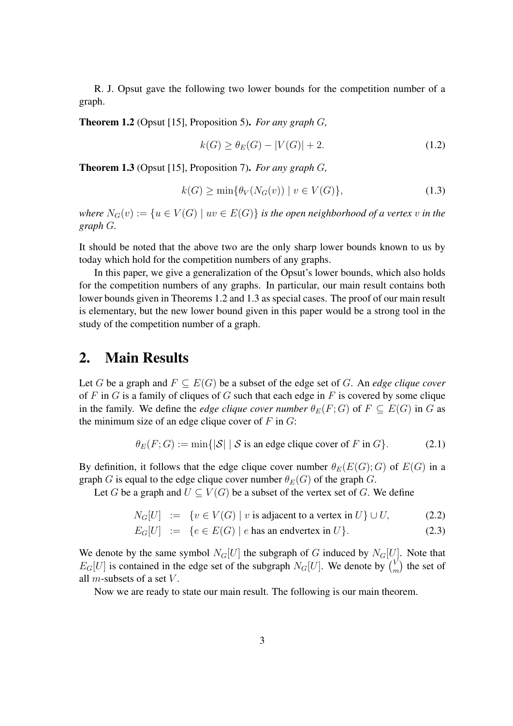R. J. Opsut gave the following two lower bounds for the competition number of a graph.

Theorem 1.2 (Opsut [15], Proposition 5). *For any graph G,*

$$
k(G) \ge \theta_E(G) - |V(G)| + 2. \tag{1.2}
$$

Theorem 1.3 (Opsut [15], Proposition 7). *For any graph G,*

$$
k(G) \ge \min\{\theta_V(N_G(v)) \mid v \in V(G)\},\tag{1.3}
$$

*where*  $N_G(v) := \{u \in V(G) \mid uv \in E(G)\}$  *is the open neighborhood of a vertex v in the graph G.*

It should be noted that the above two are the only sharp lower bounds known to us by today which hold for the competition numbers of any graphs.

In this paper, we give a generalization of the Opsut's lower bounds, which also holds for the competition numbers of any graphs. In particular, our main result contains both lower bounds given in Theorems 1.2 and 1.3 as special cases. The proof of our main result is elementary, but the new lower bound given in this paper would be a strong tool in the study of the competition number of a graph.

#### 2. Main Results

Let *G* be a graph and  $F \subseteq E(G)$  be a subset of the edge set of *G*. An *edge clique cover* of *F* in *G* is a family of cliques of *G* such that each edge in *F* is covered by some clique in the family. We define the *edge clique cover number*  $\theta_E(F;G)$  of  $F \subseteq E(G)$  in G as the minimum size of an edge clique cover of *F* in *G*:

$$
\theta_E(F; G) := \min\{|S| \mid S \text{ is an edge clique cover of } F \text{ in } G\}. \tag{2.1}
$$

By definition, it follows that the edge clique cover number  $\theta_E(E(G); G)$  of  $E(G)$  in a graph *G* is equal to the edge clique cover number  $\theta_E(G)$  of the graph *G*.

Let *G* be a graph and  $U \subseteq V(G)$  be a subset of the vertex set of *G*. We define

$$
N_G[U] := \{ v \in V(G) \mid v \text{ is adjacent to a vertex in } U \} \cup U,
$$
 (2.2)

$$
E_G[U] := \{ e \in E(G) \mid e \text{ has an endvertex in } U \}. \tag{2.3}
$$

We denote by the same symbol  $N_G[U]$  the subgraph of *G* induced by  $N_G[U]$ . Note that  $E_G[U]$  is contained in the edge set of the subgraph  $N_G[U]$ . We denote by  $\binom{V}{n}$  $\binom{V}{m}$  the set of all *m*-subsets of a set *V* .

Now we are ready to state our main result. The following is our main theorem.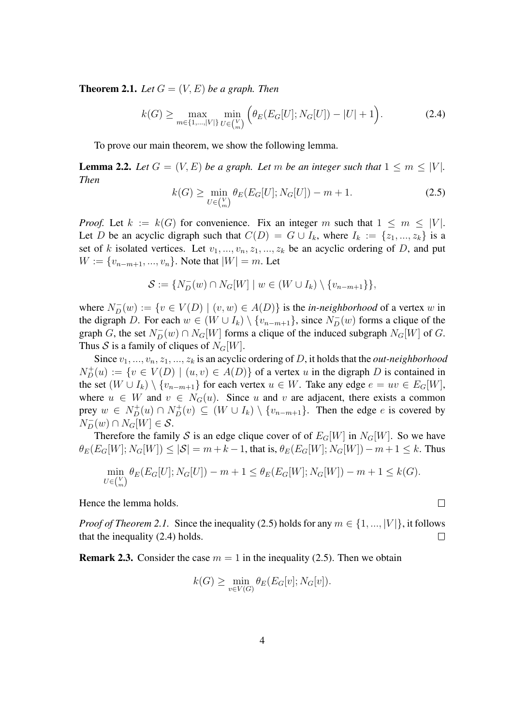**Theorem 2.1.** Let  $G = (V, E)$  be a graph. Then

$$
k(G) \ge \max_{m \in \{1, \dots, |V|\}} \min_{U \in {V \choose m}} \left( \theta_E(E_G[U]; N_G[U]) - |U| + 1 \right). \tag{2.4}
$$

To prove our main theorem, we show the following lemma.

**Lemma 2.2.** Let  $G = (V, E)$  be a graph. Let m be an integer such that  $1 \leq m \leq |V|$ . *Then*

$$
k(G) \ge \min_{U \in {V \choose m}} \theta_E(E_G[U]; N_G[U]) - m + 1. \tag{2.5}
$$

*Proof.* Let  $k := k(G)$  for convenience. Fix an integer *m* such that  $1 \leq m \leq |V|$ . Let *D* be an acyclic digraph such that  $C(D) = G \cup I_k$ , where  $I_k := \{z_1, ..., z_k\}$  is a set of *k* isolated vertices. Let  $v_1, ..., v_n, z_1, ..., z_k$  be an acyclic ordering of *D*, and put *W* := { $v_{n-m+1},...,v_n$ }. Note that  $|W| = m$ . Let

$$
\mathcal{S} := \{ N_D^-(w) \cap N_G[W] \mid w \in (W \cup I_k) \setminus \{v_{n-m+1}\} \},
$$

where  $N_D^-(w) := \{ v \in V(D) \mid (v, w) \in A(D) \}$  is the *in-neighborhood* of a vertex *w* in the digraph *D*. For each  $w \in (W \cup I_k) \setminus \{v_{n-m+1}\}\$ , since  $N_D^-(w)$  forms a clique of the graph *G*, the set  $N_D^-(w) \cap N_G[W]$  forms a clique of the induced subgraph  $N_G[W]$  of *G*. Thus *S* is a family of cliques of  $N_G[W]$ .

Since *v*1*, ..., vn, z*1*, ..., z<sup>k</sup>* is an acyclic ordering of *D*, it holds that the *out-neighborhood*  $N_D^+(u) := \{ v \in V(D) \mid (u, v) \in A(D) \}$  of a vertex *u* in the digraph *D* is contained in the set  $(W \cup I_k) \setminus \{v_{n-m+1}\}$  for each vertex  $u \in W$ . Take any edge  $e = uv \in E_G[W]$ , where  $u \in W$  and  $v \in N_G(u)$ . Since *u* and *v* are adjacent, there exists a common prey  $w \in N_D^+(u) \cap N_D^+(v) \subseteq (W \cup I_k) \setminus \{v_{n-m+1}\}.$  Then the edge e is covered by  $N_D^-(w) \cap N_G[W] \in S$ .

Therefore the family *S* is an edge clique cover of of  $E_G[W]$  in  $N_G[W]$ . So we have  $\theta_E(E_G[W]; N_G[W]) \leq |\mathcal{S}| = m + k - 1$ , that is,  $\theta_E(E_G[W]; N_G[W]) - m + 1 \leq k$ . Thus

$$
\min_{U \in {V \choose m}} \theta_E(E_G[U]; N_G[U]) - m + 1 \le \theta_E(E_G[W]; N_G[W]) - m + 1 \le k(G).
$$

 $\Box$ 

Hence the lemma holds.

*Proof of Theorem 2.1.* Since the inequality (2.5) holds for any  $m \in \{1, ..., |V|\}$ , it follows that the inequality (2.4) holds.  $\Box$ 

**Remark 2.3.** Consider the case  $m = 1$  in the inequality (2.5). Then we obtain

$$
k(G) \ge \min_{v \in V(G)} \theta_E(E_G[v]; N_G[v]).
$$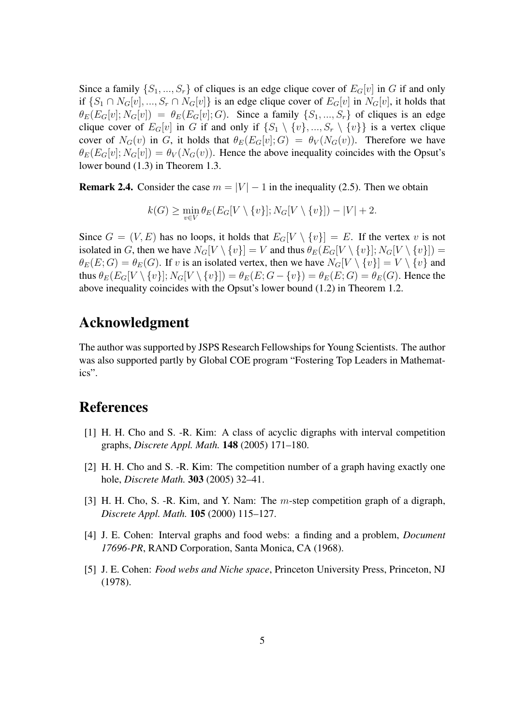Since a family  $\{S_1, ..., S_r\}$  of cliques is an edge clique cover of  $E_G[v]$  in G if and only if  $\{S_1 \cap N_G[v], ..., S_r \cap N_G[v]\}$  is an edge clique cover of  $E_G[v]$  in  $N_G[v]$ , it holds that  $\theta_E(E_G[v]; N_G[v]) = \theta_E(E_G[v]; G)$ . Since a family  $\{S_1, ..., S_r\}$  of cliques is an edge clique cover of  $E_G[v]$  in *G* if and only if  $\{S_1 \setminus \{v\}, ..., S_r \setminus \{v\}\}\)$  is a vertex clique cover of  $N_G(v)$  in *G*, it holds that  $\theta_E(E_G[v]; G) = \theta_V(N_G(v))$ . Therefore we have  $\theta_E(E_G[v]; N_G[v]) = \theta_V(N_G(v))$ . Hence the above inequality coincides with the Opsut's lower bound (1.3) in Theorem 1.3.

**Remark 2.4.** Consider the case  $m = |V| - 1$  in the inequality (2.5). Then we obtain

$$
k(G) \ge \min_{v \in V} \theta_E(E_G[V \setminus \{v\}]; N_G[V \setminus \{v\}]) - |V| + 2.
$$

Since  $G = (V, E)$  has no loops, it holds that  $E_G[V \setminus \{v\}] = E$ . If the vertex *v* is not isolated in G, then we have  $N_G[V \setminus \{v\}] = V$  and thus  $\theta_E(E_G[V \setminus \{v\}]; N_G[V \setminus \{v\}]) =$  $\theta_E(E; G) = \theta_E(G)$ . If *v* is an isolated vertex, then we have  $N_G[V \setminus \{v\}] = V \setminus \{v\}$  and thus  $\theta_E(E_G[V \setminus \{v\}]; N_G[V \setminus \{v\}]) = \theta_E(E; G - \{v\}) = \theta_E(E; G) = \theta_E(G)$ . Hence the above inequality coincides with the Opsut's lower bound (1.2) in Theorem 1.2.

### Acknowledgment

The author was supported by JSPS Research Fellowships for Young Scientists. The author was also supported partly by Global COE program "Fostering Top Leaders in Mathematics".

#### References

- [1] H. H. Cho and S. -R. Kim: A class of acyclic digraphs with interval competition graphs, *Discrete Appl. Math.* 148 (2005) 171–180.
- [2] H. H. Cho and S. -R. Kim: The competition number of a graph having exactly one hole, *Discrete Math.* 303 (2005) 32–41.
- [3] H. H. Cho, S. -R. Kim, and Y. Nam: The *m*-step competition graph of a digraph, *Discrete Appl. Math.* 105 (2000) 115–127.
- [4] J. E. Cohen: Interval graphs and food webs: a finding and a problem, *Document 17696-PR*, RAND Corporation, Santa Monica, CA (1968).
- [5] J. E. Cohen: *Food webs and Niche space*, Princeton University Press, Princeton, NJ (1978).